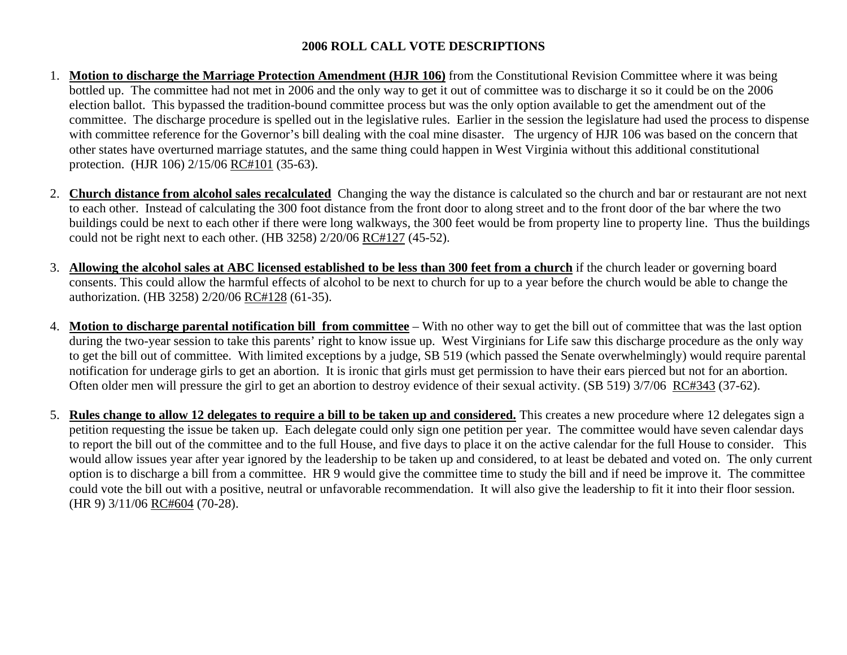## **2006 ROLL CALL VOTE DESCRIPTIONS**

- 1. **Motion to discharge the Marriage Protection Amendment (HJR 106)** from the Constitutional Revision Committee where it was being bottled up. The committee had not met in 2006 and the only way to get it out of committee was to discharge it so it could be on the 2006 election ballot. This bypassed the tradition-bound committee process but was the only option available to get the amendment out of the committee. The discharge procedure is spelled out in the legislative rules. Earlier in the session the legislature had used the process to dispense with committee reference for the Governor's bill dealing with the coal mine disaster. The urgency of HJR 106 was based on the concern that other states have overturned marriage statutes, and the same thing could happen in West Virginia without this additional constitutional protection. (HJR 106) 2/15/06 RC#101 (35-63).
- 2. **Church distance from alcohol sales recalculated** Changing the way the distance is calculated so the church and bar or restaurant are not next to each other. Instead of calculating the 300 foot distance from the front door to along street and to the front door of the bar where the two buildings could be next to each other if there were long walkways, the 300 feet would be from property line to property line. Thus the buildings could not be right next to each other. (HB 3258) 2/20/06 RC#127 (45-52).
- 3. **Allowing the alcohol sales at ABC licensed established to be less than 300 feet from a church** if the church leader or governing board consents. This could allow the harmful effects of alcohol to be next to church for up to a year before the church would be able to change the authorization. (HB 3258) 2/20/06 RC#128 (61-35).
- 4. **Motion to discharge parental notification bill from committee** With no other way to get the bill out of committee that was the last option during the two-year session to take this parents' right to know issue up. West Virginians for Life saw this discharge procedure as the only way to get the bill out of committee. With limited exceptions by a judge, SB 519 (which passed the Senate overwhelmingly) would require parental notification for underage girls to get an abortion. It is ironic that girls must get permission to have their ears pierced but not for an abortion. Often older men will pressure the girl to get an abortion to destroy evidence of their sexual activity. (SB 519) 3/7/06 RC#343 (37-62).
- 5. **Rules change to allow 12 delegates to require a bill to be taken up and considered.** This creates a new procedure where 12 delegates sign a petition requesting the issue be taken up. Each delegate could only sign one petition per year. The committee would have seven calendar days to report the bill out of the committee and to the full House, and five days to place it on the active calendar for the full House to consider. This would allow issues year after year ignored by the leadership to be taken up and considered, to at least be debated and voted on. The only current option is to discharge a bill from a committee. HR 9 would give the committee time to study the bill and if need be improve it. The committee could vote the bill out with a positive, neutral or unfavorable recommendation. It will also give the leadership to fit it into their floor session. (HR 9) 3/11/06 RC#604 (70-28).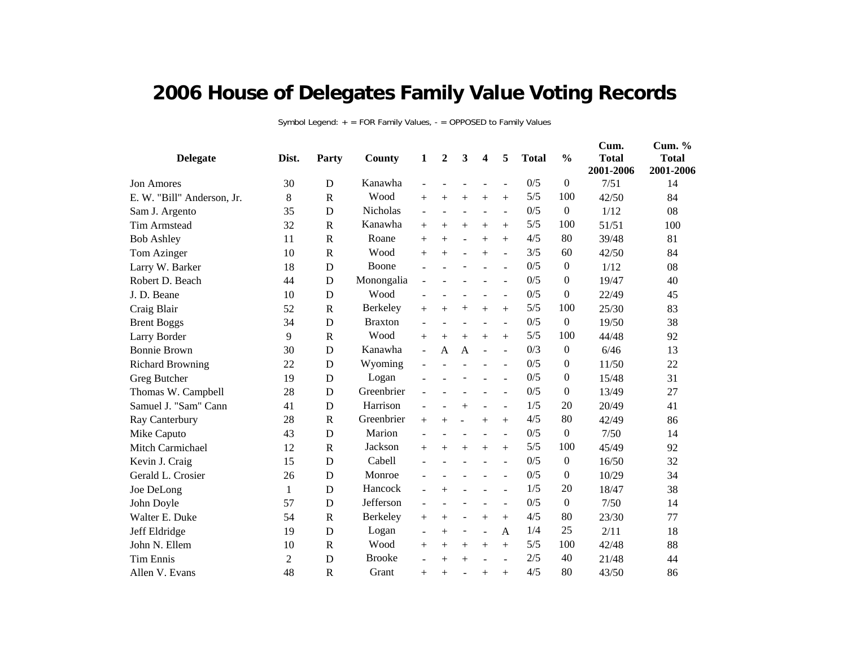## **2006 House of Delegates Family Value Voting Records**

Symbol Legend: + = FOR Family Values, - = OPPOSED to Family Values

| <b>Delegate</b>            | Dist.          | Party                 | County         | $\mathbf{1}$             | 2      | 3                        | 4              | 5                        | <b>Total</b> | $\frac{0}{0}$    | Cum.<br><b>Total</b><br>2001-2006 | Cum. %<br><b>Total</b><br>2001-2006 |
|----------------------------|----------------|-----------------------|----------------|--------------------------|--------|--------------------------|----------------|--------------------------|--------------|------------------|-----------------------------------|-------------------------------------|
| <b>Jon Amores</b>          | 30             | D                     | Kanawha        |                          |        |                          |                | $\overline{\phantom{a}}$ | 0/5          | $\mathbf{0}$     | 7/51                              | 14                                  |
| E. W. "Bill" Anderson, Jr. | 8              | $\mathbf R$           | Wood           | $^{+}$                   | $+$    | $+$                      | $+$            | $^{+}$                   | 5/5          | 100              | 42/50                             | 84                                  |
| Sam J. Argento             | 35             | $\mathbf D$           | Nicholas       | $\overline{a}$           | ٠      | $\overline{\phantom{a}}$ |                | $\blacksquare$           | 0/5          | $\boldsymbol{0}$ | 1/12                              | 08                                  |
| <b>Tim Armstead</b>        | 32             | $\mathbf R$           | Kanawha        | $^{+}$                   | $^{+}$ | $^{+}$                   | $+$            | $^{+}$                   | 5/5          | 100              | 51/51                             | 100                                 |
| <b>Bob Ashley</b>          | 11             | $\mathbf R$           | Roane          | $+$                      | $+$    | $\overline{a}$           | $+$            | $^{+}$                   | 4/5          | 80               | 39/48                             | 81                                  |
| Tom Azinger                | 10             | $\mathbf R$           | Wood           | $^{+}$                   | $^{+}$ | L,                       | $+$            | $\overline{a}$           | 3/5          | 60               | 42/50                             | 84                                  |
| Larry W. Barker            | 18             | D                     | Boone          |                          |        |                          |                | $\blacksquare$           | 0/5          | $\theta$         | 1/12                              | 08                                  |
| Robert D. Beach            | 44             | D                     | Monongalia     |                          |        |                          |                | $\overline{a}$           | 0/5          | $\theta$         | 19/47                             | 40                                  |
| J. D. Beane                | 10             | D                     | Wood           |                          |        |                          |                | $\overline{\phantom{a}}$ | 0/5          | $\overline{0}$   | 22/49                             | 45                                  |
| Craig Blair                | 52             | $\mathbf R$           | Berkeley       | $^{+}$                   | $^{+}$ | $^{+}$                   | $+$            | $^{+}$                   | 5/5          | 100              | 25/30                             | 83                                  |
| <b>Brent Boggs</b>         | 34             | D                     | <b>Braxton</b> |                          |        | ٠                        |                | $\overline{\phantom{a}}$ | 0/5          | $\mathbf{0}$     | 19/50                             | 38                                  |
| Larry Border               | 9              | $\mathbf R$           | Wood           | $^{+}$                   | $^{+}$ | $+$                      | $+$            | $^{+}$                   | 5/5          | 100              | 44/48                             | 92                                  |
| <b>Bonnie Brown</b>        | 30             | D                     | Kanawha        | $\blacksquare$           | A      | $\mathbf{A}$             |                | $\blacksquare$           | 0/3          | $\mathbf{0}$     | 6/46                              | 13                                  |
| <b>Richard Browning</b>    | 22             | $\mathbf D$           | Wyoming        | $\overline{a}$           |        |                          |                | $\overline{\phantom{a}}$ | 0/5          | $\overline{0}$   | 11/50                             | 22                                  |
| Greg Butcher               | 19             | D                     | Logan          |                          |        |                          |                |                          | 0/5          | $\overline{0}$   | 15/48                             | 31                                  |
| Thomas W. Campbell         | 28             | D                     | Greenbrier     |                          |        |                          |                | $\blacksquare$           | 0/5          | $\overline{0}$   | 13/49                             | 27                                  |
| Samuel J. "Sam" Cann       | 41             | D                     | Harrison       |                          |        | $^{+}$                   |                | $\overline{\phantom{a}}$ | 1/5          | 20               | 20/49                             | 41                                  |
| Ray Canterbury             | 28             | $\mathbb{R}$          | Greenbrier     | $+$                      | $+$    | $\blacksquare$           | $+$            | $^{+}$                   | 4/5          | 80               | 42/49                             | 86                                  |
| Mike Caputo                | 43             | D                     | Marion         |                          |        |                          |                | $\overline{a}$           | 0/5          | $\boldsymbol{0}$ | 7/50                              | 14                                  |
| Mitch Carmichael           | 12             | $\mathbf R$           | Jackson        | $+$                      | $+$    | $+$                      | $+$            | $+$                      | 5/5          | 100              | 45/49                             | 92                                  |
| Kevin J. Craig             | 15             | D                     | Cabell         |                          |        |                          |                | $\overline{a}$           | 0/5          | $\boldsymbol{0}$ | 16/50                             | 32                                  |
| Gerald L. Crosier          | 26             | D                     | Monroe         |                          |        |                          |                | $\blacksquare$           | 0/5          | $\overline{0}$   | 10/29                             | 34                                  |
| Joe DeLong                 | 1              | D                     | Hancock        | $\overline{\phantom{0}}$ | $^{+}$ |                          |                | ÷,                       | 1/5          | 20               | 18/47                             | 38                                  |
| John Doyle                 | 57             | D                     | Jefferson      |                          |        |                          |                | $\blacksquare$           | 0/5          | $\boldsymbol{0}$ | 7/50                              | 14                                  |
| Walter E. Duke             | 54             | $\mathbb{R}$          | Berkeley       | $^{+}$                   | $^{+}$ | $\overline{\phantom{a}}$ | $+$            | $^{+}$                   | 4/5          | 80               | 23/30                             | 77                                  |
| Jeff Eldridge              | 19             | D                     | Logan          | $\overline{\phantom{a}}$ | $^{+}$ | $\overline{\phantom{a}}$ | $\overline{a}$ | A                        | 1/4          | 25               | 2/11                              | 18                                  |
| John N. Ellem              | 10             | $\mathbb{R}$          | Wood           | $^{+}$                   | $+$    | $+$                      | $+$            | $+$                      | 5/5          | 100              | 42/48                             | 88                                  |
| <b>Tim Ennis</b>           | $\overline{2}$ | D                     | <b>Brooke</b>  |                          | $+$    | $^{+}$                   |                |                          | 2/5          | 40               | 21/48                             | 44                                  |
| Allen V. Evans             | 48             | $\overline{\text{R}}$ | Grant          | $^{+}$                   | $^{+}$ |                          | $^{+}$         | $^{+}$                   | 4/5          | 80               | 43/50                             | 86                                  |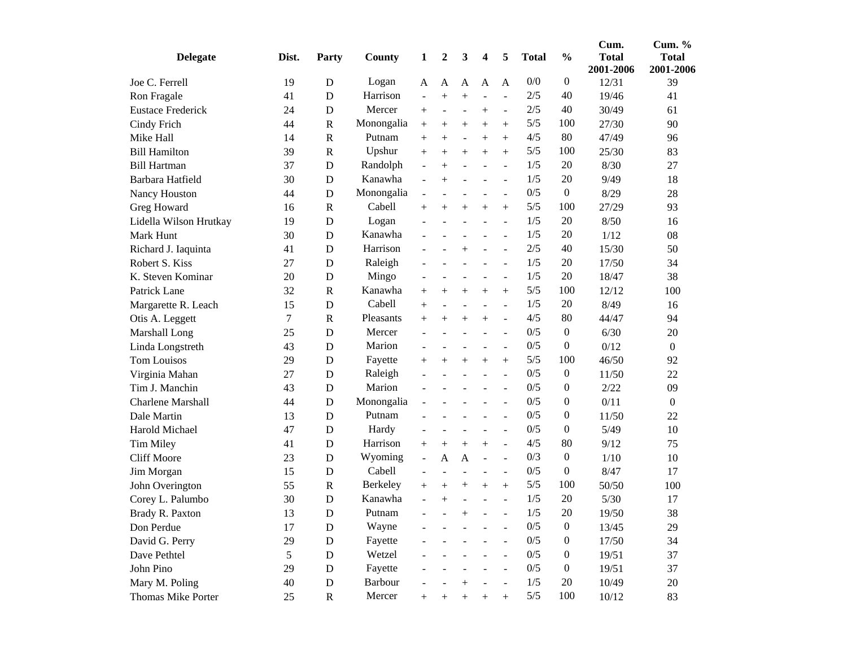|                          |       |              |            |                          |                          |                          |                          |                          |              |                  | Cum.                      | Cum. $%$                  |
|--------------------------|-------|--------------|------------|--------------------------|--------------------------|--------------------------|--------------------------|--------------------------|--------------|------------------|---------------------------|---------------------------|
| <b>Delegate</b>          | Dist. | Party        | County     | 1                        | $\boldsymbol{2}$         | 3                        | $\overline{\mathbf{4}}$  | 5                        | <b>Total</b> | $\frac{0}{0}$    | <b>Total</b><br>2001-2006 | <b>Total</b><br>2001-2006 |
| Joe C. Ferrell           | 19    | D            | Logan      | A                        | A                        | A                        | $\overline{A}$           | $\overline{A}$           | 0/0          | $\boldsymbol{0}$ | 12/31                     | 39                        |
| Ron Fragale              | 41    | D            | Harrison   | $\overline{a}$           | $^{+}$                   | $^{+}$                   | ÷                        | $\overline{a}$           | 2/5          | 40               | 19/46                     | 41                        |
| <b>Eustace Frederick</b> | 24    | D            | Mercer     | $+$                      | $\overline{\phantom{a}}$ |                          | $^{+}$                   | $\overline{\phantom{a}}$ | 2/5          | 40               | 30/49                     | 61                        |
| Cindy Frich              | 44    | $\mathbf R$  | Monongalia | $+$                      | $^{+}$                   | $^{+}$                   | $^{+}$                   | $^{+}$                   | 5/5          | 100              | 27/30                     | 90                        |
| Mike Hall                | 14    | $\mathbb{R}$ | Putnam     | $^{+}$                   | $\hspace{0.1mm} +$       | $\overline{\phantom{a}}$ | $^{+}$                   | $^{+}$                   | 4/5          | 80               | 47/49                     | 96                        |
| <b>Bill Hamilton</b>     | 39    | $\mathbf R$  | Upshur     | $+$                      | $\overline{+}$           | $^{+}$                   | $^{+}$                   | $+$                      | 5/5          | 100              | 25/30                     | 83                        |
| <b>Bill Hartman</b>      | 37    | D            | Randolph   | $\overline{\phantom{a}}$ | $^{+}$                   | $\overline{a}$           | $\overline{a}$           | $\overline{\phantom{a}}$ | 1/5          | 20               | 8/30                      | 27                        |
| Barbara Hatfield         | 30    | D            | Kanawha    |                          | $+$                      |                          |                          | $\overline{a}$           | 1/5          | 20               | 9/49                      | 18                        |
| Nancy Houston            | 44    | D            | Monongalia | $\overline{\phantom{0}}$ | L,                       |                          | L,                       | $\blacksquare$           | 0/5          | $\boldsymbol{0}$ | 8/29                      | 28                        |
| Greg Howard              | 16    | $\mathbf R$  | Cabell     | $+$                      | $^{+}$                   | $^{+}$                   | $^{+}$                   | $^{+}$                   | 5/5          | 100              | 27/29                     | 93                        |
| Lidella Wilson Hrutkay   | 19    | D            | Logan      | $\overline{a}$           | L,                       | $\overline{\phantom{a}}$ | $\overline{a}$           | $\overline{\phantom{a}}$ | 1/5          | 20               | 8/50                      | 16                        |
| Mark Hunt                | 30    | D            | Kanawha    | $\overline{a}$           |                          | $\overline{\phantom{a}}$ | $\overline{\phantom{a}}$ | $\overline{\phantom{a}}$ | 1/5          | 20               | 1/12                      | 08                        |
| Richard J. Iaquinta      | 41    | D            | Harrison   |                          |                          | $^{+}$                   | ÷                        | ÷,                       | 2/5          | 40               | 15/30                     | 50                        |
| Robert S. Kiss           | 27    | D            | Raleigh    |                          |                          |                          |                          | $\overline{\phantom{a}}$ | 1/5          | 20               | 17/50                     | 34                        |
| K. Steven Kominar        | 20    | $\mathbf D$  | Mingo      | $\overline{\phantom{a}}$ | $\overline{\phantom{a}}$ |                          | L,                       | $\blacksquare$           | 1/5          | 20               | 18/47                     | 38                        |
| Patrick Lane             | 32    | $\mathbf R$  | Kanawha    | $+$                      | $\overline{+}$           | $^{+}$                   | $^{+}$                   | $+$                      | 5/5          | 100              | 12/12                     | 100                       |
| Margarette R. Leach      | 15    | D            | Cabell     | $^{+}$                   | L,                       | $\overline{a}$           | ÷                        | $\overline{\phantom{a}}$ | 1/5          | 20               | 8/49                      | 16                        |
| Otis A. Leggett          | 7     | $\mathbf R$  | Pleasants  | $^{+}$                   | $\overline{+}$           | $^{+}$                   | $^{+}$                   | $\overline{\phantom{a}}$ | 4/5          | 80               | 44/47                     | 94                        |
| Marshall Long            | 25    | D            | Mercer     |                          |                          |                          | L.                       | $\overline{a}$           | 0/5          | $\boldsymbol{0}$ | 6/30                      | 20                        |
| Linda Longstreth         | 43    | D            | Marion     |                          |                          |                          |                          |                          | 0/5          | $\overline{0}$   | 0/12                      | $\boldsymbol{0}$          |
| <b>Tom Louisos</b>       | 29    | D            | Fayette    | $^{+}$                   | $^{+}$                   | $^{+}$                   | $^{+}$                   | $^{+}$                   | 5/5          | 100              | 46/50                     | 92                        |
| Virginia Mahan           | 27    | D            | Raleigh    |                          |                          | ÷                        | ÷.                       | $\overline{a}$           | 0/5          | $\boldsymbol{0}$ | 11/50                     | 22                        |
| Tim J. Manchin           | 43    | D            | Marion     |                          |                          |                          |                          | $\overline{a}$           | 0/5          | 0                | 2/22                      | 09                        |
| <b>Charlene Marshall</b> | 44    | D            | Monongalia | $\overline{a}$           |                          |                          | L,                       | $\overline{\phantom{a}}$ | 0/5          | 0                | 0/11                      | $\mathbf{0}$              |
| Dale Martin              | 13    | D            | Putnam     |                          |                          |                          | L,                       | $\overline{a}$           | 0/5          | 0                | 11/50                     | 22                        |
| Harold Michael           | 47    | D            | Hardy      |                          |                          |                          |                          | $\overline{a}$           | 0/5          | $\overline{0}$   | 5/49                      | 10                        |
| Tim Miley                | 41    | D            | Harrison   | $+$                      | $^{+}$                   | $^{+}$                   | $+$                      | $\blacksquare$           | 4/5          | 80               | 9/12                      | 75                        |
| <b>Cliff Moore</b>       | 23    | D            | Wyoming    | $\blacksquare$           | A                        | A                        | $\blacksquare$           | ÷,                       | 0/3          | 0                | 1/10                      | 10                        |
| Jim Morgan               | 15    | D            | Cabell     | $\overline{\phantom{0}}$ | L,                       | $\overline{\phantom{a}}$ | ÷                        | $\blacksquare$           | 0/5          | $\overline{0}$   | 8/47                      | 17                        |
| John Overington          | 55    | $\mathbf R$  | Berkeley   | $^{+}$                   | $\overline{+}$           | $^+$                     | $^{+}$                   | $+$                      | 5/5          | 100              | 50/50                     | 100                       |
| Corey L. Palumbo         | 30    | D            | Kanawha    |                          | $^{+}$                   |                          | $\overline{a}$           | $\overline{a}$           | 1/5          | 20               | $5/30$                    | 17                        |
| Brady R. Paxton          | 13    | D            | Putnam     |                          | L,                       | $^{+}$                   |                          |                          | 1/5          | 20               | 19/50                     | 38                        |
| Don Perdue               | 17    | $\mathbf D$  | Wayne      |                          |                          |                          |                          |                          | 0/5          | $\boldsymbol{0}$ | 13/45                     | 29                        |
| David G. Perry           | 29    | $\mathbf D$  | Fayette    |                          |                          |                          |                          |                          | 0/5          | $\boldsymbol{0}$ | 17/50                     | 34                        |
| Dave Pethtel             | 5     | $\mathbf D$  | Wetzel     |                          |                          |                          |                          |                          | 0/5          | $\boldsymbol{0}$ | 19/51                     | 37                        |
| John Pino                | 29    | D            | Fayette    |                          |                          |                          |                          |                          | 0/5          | $\boldsymbol{0}$ | 19/51                     | 37                        |
| Mary M. Poling           | 40    | $\mathbf D$  | Barbour    |                          |                          | $^{+}$                   |                          | $\overline{\phantom{a}}$ | 1/5          | 20               | 10/49                     | 20                        |
| Thomas Mike Porter       | 25    | $\mathbf R$  | Mercer     | $^{+}$                   | $^{+}$                   | $^{+}$                   | $^{+}$                   | $^{+}$                   | $5/5$        | 100              | 10/12                     | 83                        |